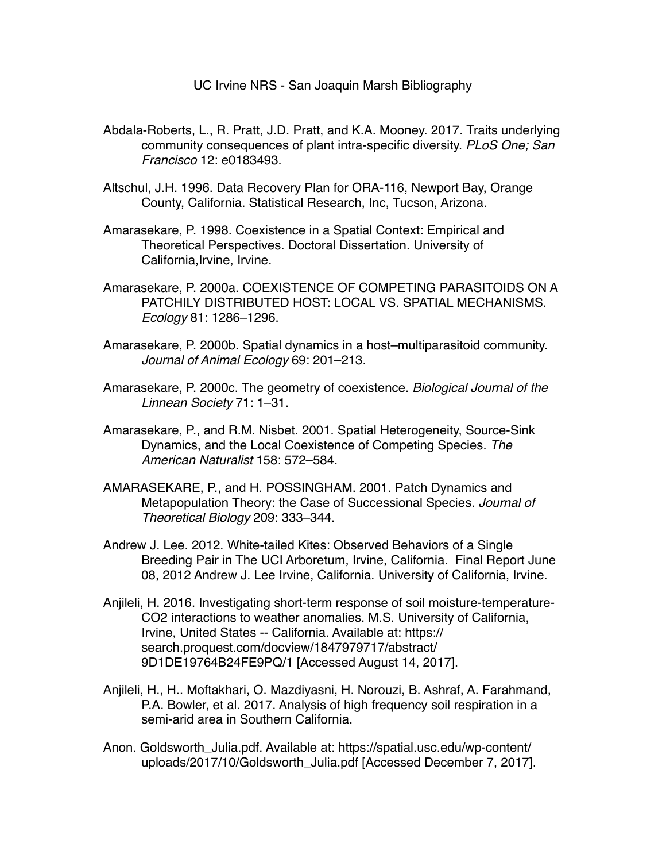UC Irvine NRS - San Joaquin Marsh Bibliography

- Abdala-Roberts, L., R. Pratt, J.D. Pratt, and K.A. Mooney. 2017. Traits underlying community consequences of plant intra-specific diversity. *PLoS One; San Francisco* 12: e0183493.
- Altschul, J.H. 1996. Data Recovery Plan for ORA-116, Newport Bay, Orange County, California. Statistical Research, Inc, Tucson, Arizona.
- Amarasekare, P. 1998. Coexistence in a Spatial Context: Empirical and Theoretical Perspectives. Doctoral Dissertation. University of California,Irvine, Irvine.
- Amarasekare, P. 2000a. COEXISTENCE OF COMPETING PARASITOIDS ON A PATCHILY DISTRIBUTED HOST: LOCAL VS. SPATIAL MECHANISMS. *Ecology* 81: 1286–1296.
- Amarasekare, P. 2000b. Spatial dynamics in a host–multiparasitoid community. *Journal of Animal Ecology* 69: 201–213.
- Amarasekare, P. 2000c. The geometry of coexistence. *Biological Journal of the Linnean Society* 71: 1–31.
- Amarasekare, P., and R.M. Nisbet. 2001. Spatial Heterogeneity, Source‐Sink Dynamics, and the Local Coexistence of Competing Species. *The American Naturalist* 158: 572–584.
- AMARASEKARE, P., and H. POSSINGHAM. 2001. Patch Dynamics and Metapopulation Theory: the Case of Successional Species. *Journal of Theoretical Biology* 209: 333–344.
- Andrew J. Lee. 2012. White-tailed Kites: Observed Behaviors of a Single Breeding Pair in The UCI Arboretum, Irvine, California. Final Report June 08, 2012 Andrew J. Lee Irvine, California. University of California, Irvine.
- Anjileli, H. 2016. Investigating short-term response of soil moisture-temperature-CO2 interactions to weather anomalies. M.S. University of California, Irvine, United States -- California. Available at: https:// search.proquest.com/docview/1847979717/abstract/ 9D1DE19764B24FE9PQ/1 [Accessed August 14, 2017].
- Anjileli, H., H.. Moftakhari, O. Mazdiyasni, H. Norouzi, B. Ashraf, A. Farahmand, P.A. Bowler, et al. 2017. Analysis of high frequency soil respiration in a semi-arid area in Southern California.
- Anon. Goldsworth\_Julia.pdf. Available at: https://spatial.usc.edu/wp-content/ uploads/2017/10/Goldsworth\_Julia.pdf [Accessed December 7, 2017].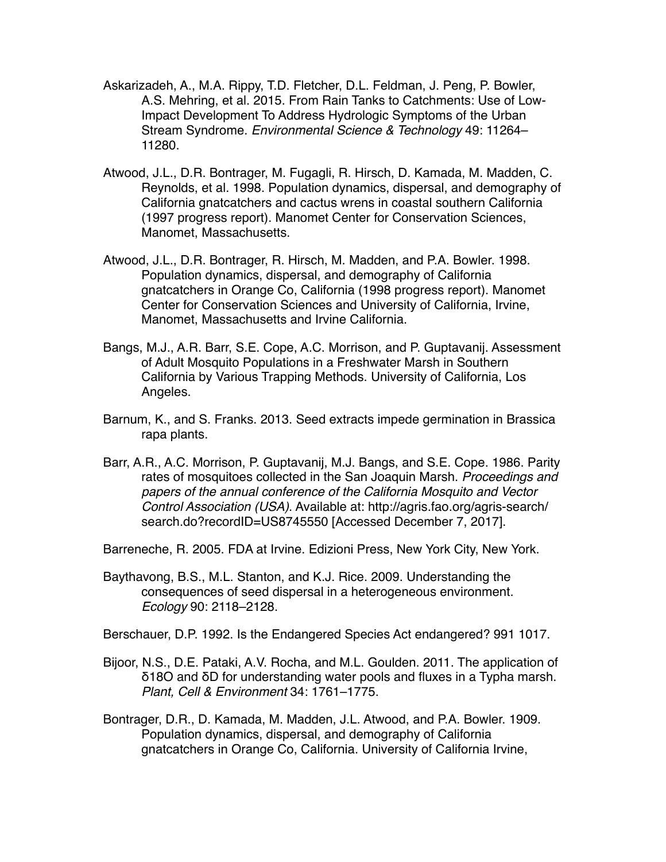- Askarizadeh, A., M.A. Rippy, T.D. Fletcher, D.L. Feldman, J. Peng, P. Bowler, A.S. Mehring, et al. 2015. From Rain Tanks to Catchments: Use of Low-Impact Development To Address Hydrologic Symptoms of the Urban Stream Syndrome. *Environmental Science & Technology* 49: 11264– 11280.
- Atwood, J.L., D.R. Bontrager, M. Fugagli, R. Hirsch, D. Kamada, M. Madden, C. Reynolds, et al. 1998. Population dynamics, dispersal, and demography of California gnatcatchers and cactus wrens in coastal southern California (1997 progress report). Manomet Center for Conservation Sciences, Manomet, Massachusetts.
- Atwood, J.L., D.R. Bontrager, R. Hirsch, M. Madden, and P.A. Bowler. 1998. Population dynamics, dispersal, and demography of California gnatcatchers in Orange Co, California (1998 progress report). Manomet Center for Conservation Sciences and University of California, Irvine, Manomet, Massachusetts and Irvine California.
- Bangs, M.J., A.R. Barr, S.E. Cope, A.C. Morrison, and P. Guptavanij. Assessment of Adult Mosquito Populations in a Freshwater Marsh in Southern California by Various Trapping Methods. University of California, Los Angeles.
- Barnum, K., and S. Franks. 2013. Seed extracts impede germination in Brassica rapa plants.
- Barr, A.R., A.C. Morrison, P. Guptavanij, M.J. Bangs, and S.E. Cope. 1986. Parity rates of mosquitoes collected in the San Joaquin Marsh. *Proceedings and papers of the annual conference of the California Mosquito and Vector Control Association (USA)*. Available at: http://agris.fao.org/agris-search/ search.do?recordID=US8745550 [Accessed December 7, 2017].
- Barreneche, R. 2005. FDA at Irvine. Edizioni Press, New York City, New York.
- Baythavong, B.S., M.L. Stanton, and K.J. Rice. 2009. Understanding the consequences of seed dispersal in a heterogeneous environment. *Ecology* 90: 2118–2128.

Berschauer, D.P. 1992. Is the Endangered Species Act endangered? 991 1017.

- Bijoor, N.S., D.E. Pataki, A.V. Rocha, and M.L. Goulden. 2011. The application of δ18O and δD for understanding water pools and fluxes in a Typha marsh. *Plant, Cell & Environment* 34: 1761–1775.
- Bontrager, D.R., D. Kamada, M. Madden, J.L. Atwood, and P.A. Bowler. 1909. Population dynamics, dispersal, and demography of California gnatcatchers in Orange Co, California. University of California Irvine,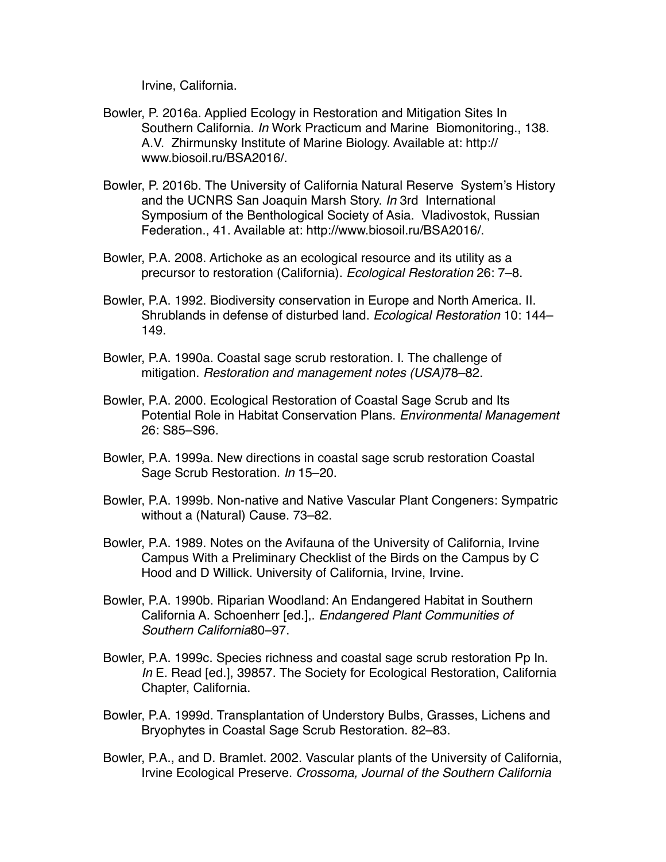Irvine, California.

- Bowler, P. 2016a. Applied Ecology in Restoration and Mitigation Sites In Southern California. *In* Work Practicum and Marine Biomonitoring., 138. A.V. Zhirmunsky Institute of Marine Biology. Available at: http:// www.biosoil.ru/BSA2016/.
- Bowler, P. 2016b. The University of California Natural Reserve System's History and the UCNRS San Joaquin Marsh Story. *In* 3rd International Symposium of the Benthological Society of Asia. Vladivostok, Russian Federation., 41. Available at: http://www.biosoil.ru/BSA2016/.
- Bowler, P.A. 2008. Artichoke as an ecological resource and its utility as a precursor to restoration (California). *Ecological Restoration* 26: 7–8.
- Bowler, P.A. 1992. Biodiversity conservation in Europe and North America. II. Shrublands in defense of disturbed land. *Ecological Restoration* 10: 144– 149.
- Bowler, P.A. 1990a. Coastal sage scrub restoration. I. The challenge of mitigation. *Restoration and management notes (USA)*78–82.
- Bowler, P.A. 2000. Ecological Restoration of Coastal Sage Scrub and Its Potential Role in Habitat Conservation Plans. *Environmental Management* 26: S85–S96.
- Bowler, P.A. 1999a. New directions in coastal sage scrub restoration Coastal Sage Scrub Restoration. *In* 15–20.
- Bowler, P.A. 1999b. Non-native and Native Vascular Plant Congeners: Sympatric without a (Natural) Cause. 73–82.
- Bowler, P.A. 1989. Notes on the Avifauna of the University of California, Irvine Campus With a Preliminary Checklist of the Birds on the Campus by C Hood and D Willick. University of California, Irvine, Irvine.
- Bowler, P.A. 1990b. Riparian Woodland: An Endangered Habitat in Southern California A. Schoenherr [ed.],. *Endangered Plant Communities of Southern California*80–97.
- Bowler, P.A. 1999c. Species richness and coastal sage scrub restoration Pp In. *In* E. Read [ed.], 39857. The Society for Ecological Restoration, California Chapter, California.
- Bowler, P.A. 1999d. Transplantation of Understory Bulbs, Grasses, Lichens and Bryophytes in Coastal Sage Scrub Restoration. 82–83.
- Bowler, P.A., and D. Bramlet. 2002. Vascular plants of the University of California, Irvine Ecological Preserve. *Crossoma, Journal of the Southern California*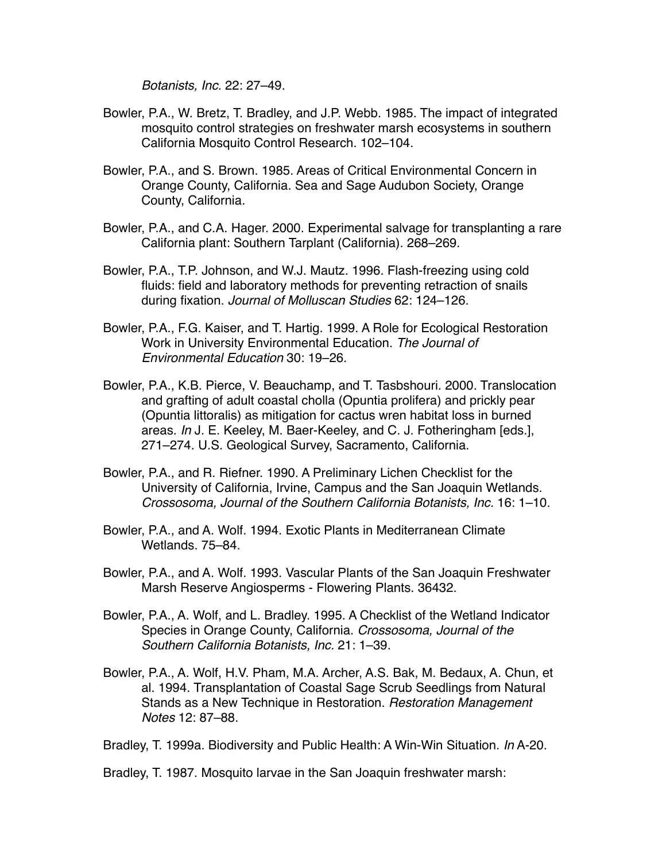*Botanists, Inc.* 22: 27–49.

- Bowler, P.A., W. Bretz, T. Bradley, and J.P. Webb. 1985. The impact of integrated mosquito control strategies on freshwater marsh ecosystems in southern California Mosquito Control Research. 102–104.
- Bowler, P.A., and S. Brown. 1985. Areas of Critical Environmental Concern in Orange County, California. Sea and Sage Audubon Society, Orange County, California.
- Bowler, P.A., and C.A. Hager. 2000. Experimental salvage for transplanting a rare California plant: Southern Tarplant (California). 268–269.
- Bowler, P.A., T.P. Johnson, and W.J. Mautz. 1996. Flash-freezing using cold fluids: field and laboratory methods for preventing retraction of snails during fixation. *Journal of Molluscan Studies* 62: 124–126.
- Bowler, P.A., F.G. Kaiser, and T. Hartig. 1999. A Role for Ecological Restoration Work in University Environmental Education. *The Journal of Environmental Education* 30: 19–26.
- Bowler, P.A., K.B. Pierce, V. Beauchamp, and T. Tasbshouri. 2000. Translocation and grafting of adult coastal cholla (Opuntia prolifera) and prickly pear (Opuntia littoralis) as mitigation for cactus wren habitat loss in burned areas. *In* J. E. Keeley, M. Baer-Keeley, and C. J. Fotheringham [eds.], 271–274. U.S. Geological Survey, Sacramento, California.
- Bowler, P.A., and R. Riefner. 1990. A Preliminary Lichen Checklist for the University of California, Irvine, Campus and the San Joaquin Wetlands. *Crossosoma, Journal of the Southern California Botanists, Inc.* 16: 1–10.
- Bowler, P.A., and A. Wolf. 1994. Exotic Plants in Mediterranean Climate Wetlands. 75–84.
- Bowler, P.A., and A. Wolf. 1993. Vascular Plants of the San Joaquin Freshwater Marsh Reserve Angiosperms - Flowering Plants. 36432.
- Bowler, P.A., A. Wolf, and L. Bradley. 1995. A Checklist of the Wetland Indicator Species in Orange County, California. *Crossosoma, Journal of the Southern California Botanists, Inc.* 21: 1–39.
- Bowler, P.A., A. Wolf, H.V. Pham, M.A. Archer, A.S. Bak, M. Bedaux, A. Chun, et al. 1994. Transplantation of Coastal Sage Scrub Seedlings from Natural Stands as a New Technique in Restoration. *Restoration Management Notes* 12: 87–88.

Bradley, T. 1999a. Biodiversity and Public Health: A Win-Win Situation. *In* A-20.

Bradley, T. 1987. Mosquito larvae in the San Joaquin freshwater marsh: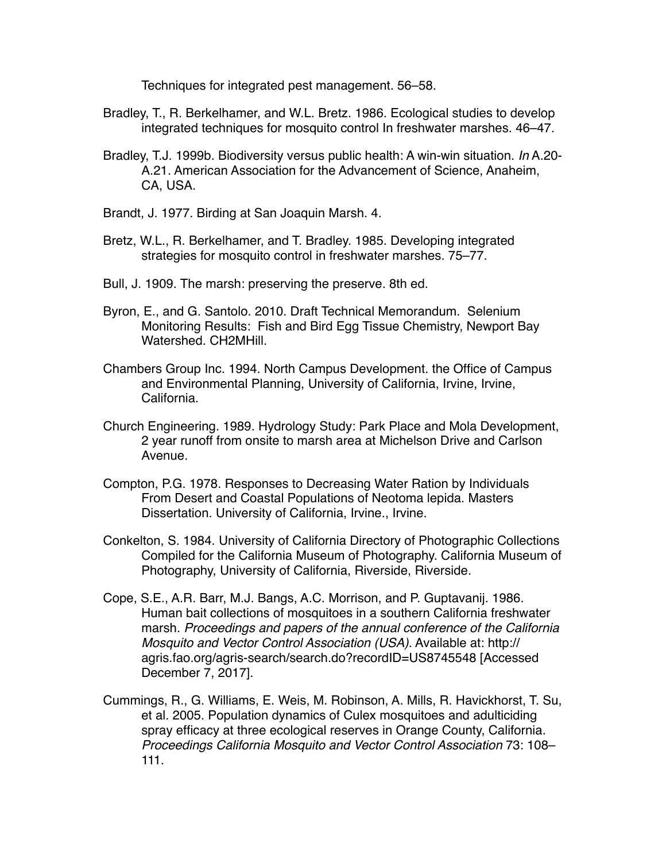Techniques for integrated pest management. 56–58.

- Bradley, T., R. Berkelhamer, and W.L. Bretz. 1986. Ecological studies to develop integrated techniques for mosquito control In freshwater marshes. 46–47.
- Bradley, T.J. 1999b. Biodiversity versus public health: A win-win situation. *In* A.20- A.21. American Association for the Advancement of Science, Anaheim, CA, USA.
- Brandt, J. 1977. Birding at San Joaquin Marsh. 4.
- Bretz, W.L., R. Berkelhamer, and T. Bradley. 1985. Developing integrated strategies for mosquito control in freshwater marshes. 75–77.
- Bull, J. 1909. The marsh: preserving the preserve. 8th ed.
- Byron, E., and G. Santolo. 2010. Draft Technical Memorandum. Selenium Monitoring Results: Fish and Bird Egg Tissue Chemistry, Newport Bay Watershed. CH2MHill.
- Chambers Group Inc. 1994. North Campus Development. the Office of Campus and Environmental Planning, University of California, Irvine, Irvine, California.
- Church Engineering. 1989. Hydrology Study: Park Place and Mola Development, 2 year runoff from onsite to marsh area at Michelson Drive and Carlson Avenue.
- Compton, P.G. 1978. Responses to Decreasing Water Ration by Individuals From Desert and Coastal Populations of Neotoma lepida. Masters Dissertation. University of California, Irvine., Irvine.
- Conkelton, S. 1984. University of California Directory of Photographic Collections Compiled for the California Museum of Photography. California Museum of Photography, University of California, Riverside, Riverside.
- Cope, S.E., A.R. Barr, M.J. Bangs, A.C. Morrison, and P. Guptavanij. 1986. Human bait collections of mosquitoes in a southern California freshwater marsh. *Proceedings and papers of the annual conference of the California Mosquito and Vector Control Association (USA)*. Available at: http:// agris.fao.org/agris-search/search.do?recordID=US8745548 [Accessed December 7, 2017].
- Cummings, R., G. Williams, E. Weis, M. Robinson, A. Mills, R. Havickhorst, T. Su, et al. 2005. Population dynamics of Culex mosquitoes and adulticiding spray efficacy at three ecological reserves in Orange County, California. *Proceedings California Mosquito and Vector Control Association* 73: 108– 111.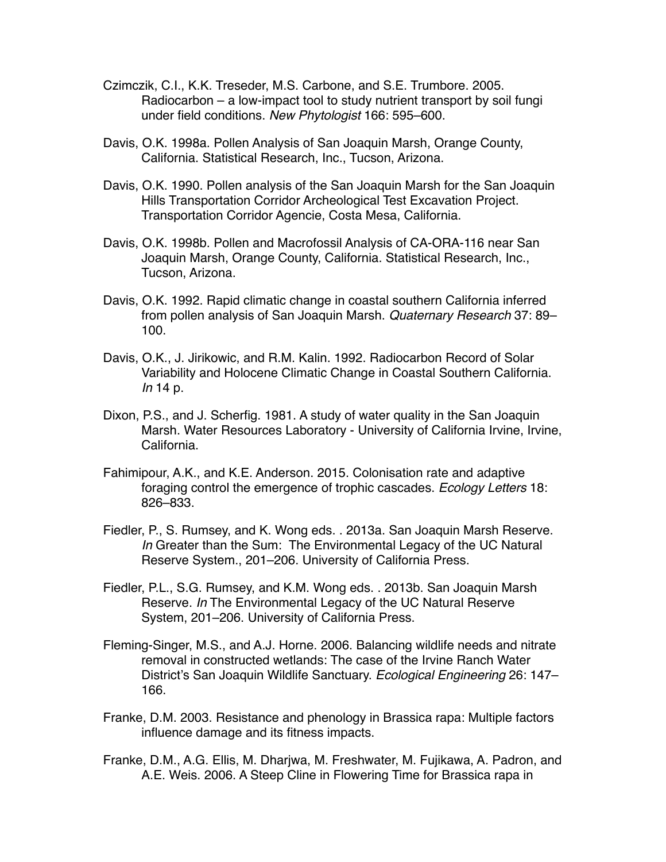- Czimczik, C.I., K.K. Treseder, M.S. Carbone, and S.E. Trumbore. 2005. Radiocarbon – a low-impact tool to study nutrient transport by soil fungi under field conditions. *New Phytologist* 166: 595–600.
- Davis, O.K. 1998a. Pollen Analysis of San Joaquin Marsh, Orange County, California. Statistical Research, Inc., Tucson, Arizona.
- Davis, O.K. 1990. Pollen analysis of the San Joaquin Marsh for the San Joaquin Hills Transportation Corridor Archeological Test Excavation Project. Transportation Corridor Agencie, Costa Mesa, California.
- Davis, O.K. 1998b. Pollen and Macrofossil Analysis of CA-ORA-116 near San Joaquin Marsh, Orange County, California. Statistical Research, Inc., Tucson, Arizona.
- Davis, O.K. 1992. Rapid climatic change in coastal southern California inferred from pollen analysis of San Joaquin Marsh. *Quaternary Research* 37: 89– 100.
- Davis, O.K., J. Jirikowic, and R.M. Kalin. 1992. Radiocarbon Record of Solar Variability and Holocene Climatic Change in Coastal Southern California. *In* 14 p.
- Dixon, P.S., and J. Scherfig. 1981. A study of water quality in the San Joaquin Marsh. Water Resources Laboratory - University of California Irvine, Irvine, California.
- Fahimipour, A.K., and K.E. Anderson. 2015. Colonisation rate and adaptive foraging control the emergence of trophic cascades. *Ecology Letters* 18: 826–833.
- Fiedler, P., S. Rumsey, and K. Wong eds. . 2013a. San Joaquin Marsh Reserve. *In* Greater than the Sum: The Environmental Legacy of the UC Natural Reserve System., 201–206. University of California Press.
- Fiedler, P.L., S.G. Rumsey, and K.M. Wong eds. . 2013b. San Joaquin Marsh Reserve. *In* The Environmental Legacy of the UC Natural Reserve System, 201–206. University of California Press.
- Fleming-Singer, M.S., and A.J. Horne. 2006. Balancing wildlife needs and nitrate removal in constructed wetlands: The case of the Irvine Ranch Water District's San Joaquin Wildlife Sanctuary. *Ecological Engineering* 26: 147– 166.
- Franke, D.M. 2003. Resistance and phenology in Brassica rapa: Multiple factors influence damage and its fitness impacts.
- Franke, D.M., A.G. Ellis, M. Dharjwa, M. Freshwater, M. Fujikawa, A. Padron, and A.E. Weis. 2006. A Steep Cline in Flowering Time for Brassica rapa in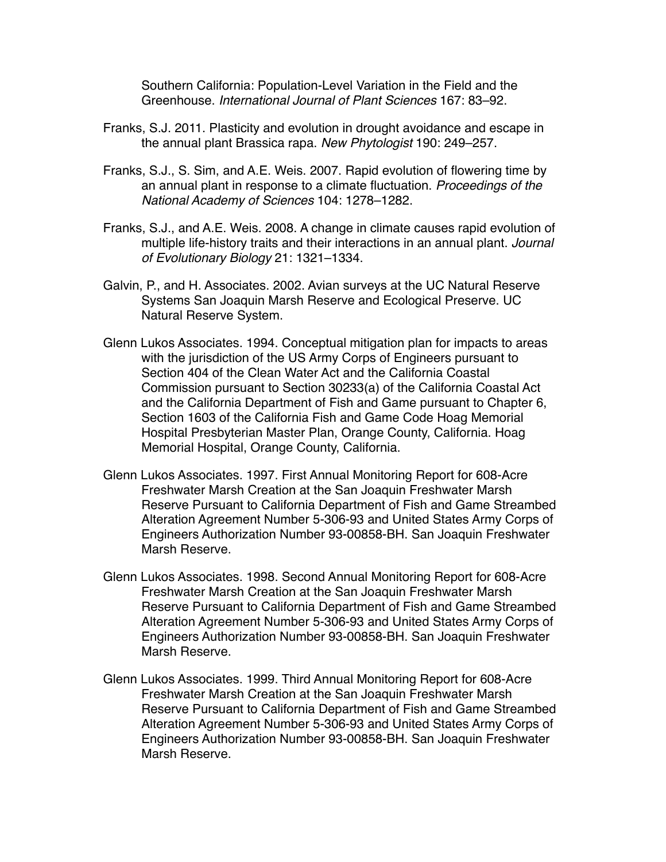Southern California: Population‐Level Variation in the Field and the Greenhouse. *International Journal of Plant Sciences* 167: 83–92.

- Franks, S.J. 2011. Plasticity and evolution in drought avoidance and escape in the annual plant Brassica rapa. *New Phytologist* 190: 249–257.
- Franks, S.J., S. Sim, and A.E. Weis. 2007. Rapid evolution of flowering time by an annual plant in response to a climate fluctuation. *Proceedings of the National Academy of Sciences* 104: 1278–1282.
- Franks, S.J., and A.E. Weis. 2008. A change in climate causes rapid evolution of multiple life-history traits and their interactions in an annual plant. *Journal of Evolutionary Biology* 21: 1321–1334.
- Galvin, P., and H. Associates. 2002. Avian surveys at the UC Natural Reserve Systems San Joaquin Marsh Reserve and Ecological Preserve. UC Natural Reserve System.
- Glenn Lukos Associates. 1994. Conceptual mitigation plan for impacts to areas with the jurisdiction of the US Army Corps of Engineers pursuant to Section 404 of the Clean Water Act and the California Coastal Commission pursuant to Section 30233(a) of the California Coastal Act and the California Department of Fish and Game pursuant to Chapter 6, Section 1603 of the California Fish and Game Code Hoag Memorial Hospital Presbyterian Master Plan, Orange County, California. Hoag Memorial Hospital, Orange County, California.
- Glenn Lukos Associates. 1997. First Annual Monitoring Report for 608-Acre Freshwater Marsh Creation at the San Joaquin Freshwater Marsh Reserve Pursuant to California Department of Fish and Game Streambed Alteration Agreement Number 5-306-93 and United States Army Corps of Engineers Authorization Number 93-00858-BH. San Joaquin Freshwater Marsh Reserve.
- Glenn Lukos Associates. 1998. Second Annual Monitoring Report for 608-Acre Freshwater Marsh Creation at the San Joaquin Freshwater Marsh Reserve Pursuant to California Department of Fish and Game Streambed Alteration Agreement Number 5-306-93 and United States Army Corps of Engineers Authorization Number 93-00858-BH. San Joaquin Freshwater Marsh Reserve.
- Glenn Lukos Associates. 1999. Third Annual Monitoring Report for 608-Acre Freshwater Marsh Creation at the San Joaquin Freshwater Marsh Reserve Pursuant to California Department of Fish and Game Streambed Alteration Agreement Number 5-306-93 and United States Army Corps of Engineers Authorization Number 93-00858-BH. San Joaquin Freshwater Marsh Reserve.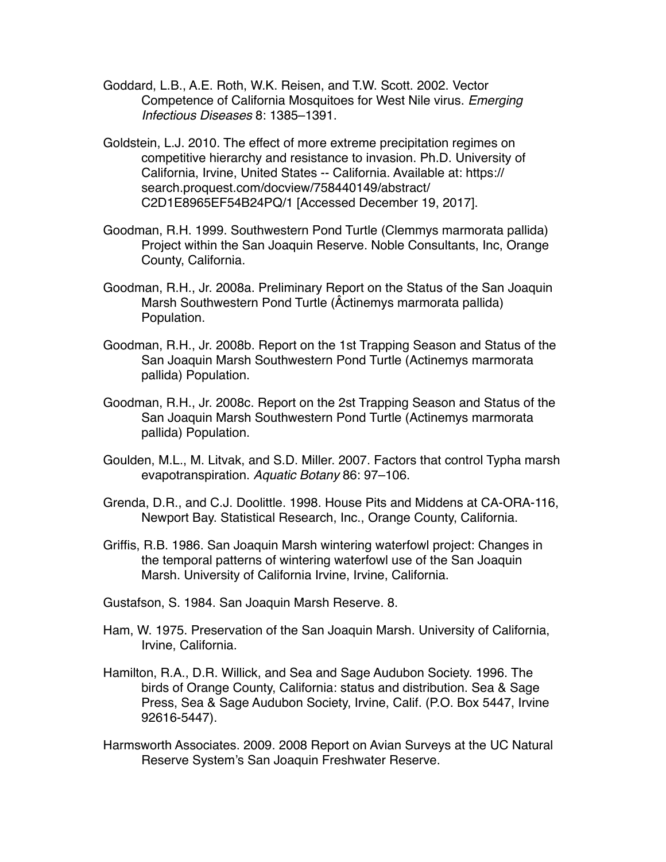- Goddard, L.B., A.E. Roth, W.K. Reisen, and T.W. Scott. 2002. Vector Competence of California Mosquitoes for West Nile virus. *Emerging Infectious Diseases* 8: 1385–1391.
- Goldstein, L.J. 2010. The effect of more extreme precipitation regimes on competitive hierarchy and resistance to invasion. Ph.D. University of California, Irvine, United States -- California. Available at: https:// search.proquest.com/docview/758440149/abstract/ C2D1E8965EF54B24PQ/1 [Accessed December 19, 2017].
- Goodman, R.H. 1999. Southwestern Pond Turtle (Clemmys marmorata pallida) Project within the San Joaquin Reserve. Noble Consultants, Inc, Orange County, California.
- Goodman, R.H., Jr. 2008a. Preliminary Report on the Status of the San Joaquin Marsh Southwestern Pond Turtle (Âctinemys marmorata pallida) Population.
- Goodman, R.H., Jr. 2008b. Report on the 1st Trapping Season and Status of the San Joaquin Marsh Southwestern Pond Turtle (Actinemys marmorata pallida) Population.
- Goodman, R.H., Jr. 2008c. Report on the 2st Trapping Season and Status of the San Joaquin Marsh Southwestern Pond Turtle (Actinemys marmorata pallida) Population.
- Goulden, M.L., M. Litvak, and S.D. Miller. 2007. Factors that control Typha marsh evapotranspiration. *Aquatic Botany* 86: 97–106.
- Grenda, D.R., and C.J. Doolittle. 1998. House Pits and Middens at CA-ORA-116, Newport Bay. Statistical Research, Inc., Orange County, California.
- Griffis, R.B. 1986. San Joaquin Marsh wintering waterfowl project: Changes in the temporal patterns of wintering waterfowl use of the San Joaquin Marsh. University of California Irvine, Irvine, California.
- Gustafson, S. 1984. San Joaquin Marsh Reserve. 8.
- Ham, W. 1975. Preservation of the San Joaquin Marsh. University of California, Irvine, California.
- Hamilton, R.A., D.R. Willick, and Sea and Sage Audubon Society. 1996. The birds of Orange County, California: status and distribution. Sea & Sage Press, Sea & Sage Audubon Society, Irvine, Calif. (P.O. Box 5447, Irvine 92616-5447).
- Harmsworth Associates. 2009. 2008 Report on Avian Surveys at the UC Natural Reserve System's San Joaquin Freshwater Reserve.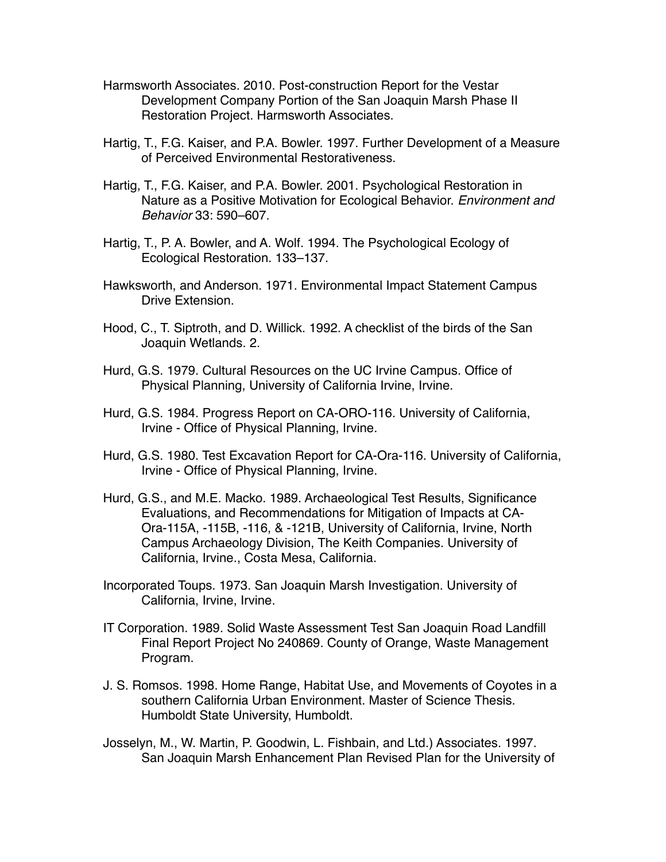- Harmsworth Associates. 2010. Post-construction Report for the Vestar Development Company Portion of the San Joaquin Marsh Phase II Restoration Project. Harmsworth Associates.
- Hartig, T., F.G. Kaiser, and P.A. Bowler. 1997. Further Development of a Measure of Perceived Environmental Restorativeness.
- Hartig, T., F.G. Kaiser, and P.A. Bowler. 2001. Psychological Restoration in Nature as a Positive Motivation for Ecological Behavior. *Environment and Behavior* 33: 590–607.
- Hartig, T., P. A. Bowler, and A. Wolf. 1994. The Psychological Ecology of Ecological Restoration. 133–137.
- Hawksworth, and Anderson. 1971. Environmental Impact Statement Campus Drive Extension.
- Hood, C., T. Siptroth, and D. Willick. 1992. A checklist of the birds of the San Joaquin Wetlands. 2.
- Hurd, G.S. 1979. Cultural Resources on the UC Irvine Campus. Office of Physical Planning, University of California Irvine, Irvine.
- Hurd, G.S. 1984. Progress Report on CA-ORO-116. University of California, Irvine - Office of Physical Planning, Irvine.
- Hurd, G.S. 1980. Test Excavation Report for CA-Ora-116. University of California, Irvine - Office of Physical Planning, Irvine.
- Hurd, G.S., and M.E. Macko. 1989. Archaeological Test Results, Significance Evaluations, and Recommendations for Mitigation of Impacts at CA-Ora-115A, -115B, -116, & -121B, University of California, Irvine, North Campus Archaeology Division, The Keith Companies. University of California, Irvine., Costa Mesa, California.
- Incorporated Toups. 1973. San Joaquin Marsh Investigation. University of California, Irvine, Irvine.
- IT Corporation. 1989. Solid Waste Assessment Test San Joaquin Road Landfill Final Report Project No 240869. County of Orange, Waste Management Program.
- J. S. Romsos. 1998. Home Range, Habitat Use, and Movements of Coyotes in a southern California Urban Environment. Master of Science Thesis. Humboldt State University, Humboldt.
- Josselyn, M., W. Martin, P. Goodwin, L. Fishbain, and Ltd.) Associates. 1997. San Joaquin Marsh Enhancement Plan Revised Plan for the University of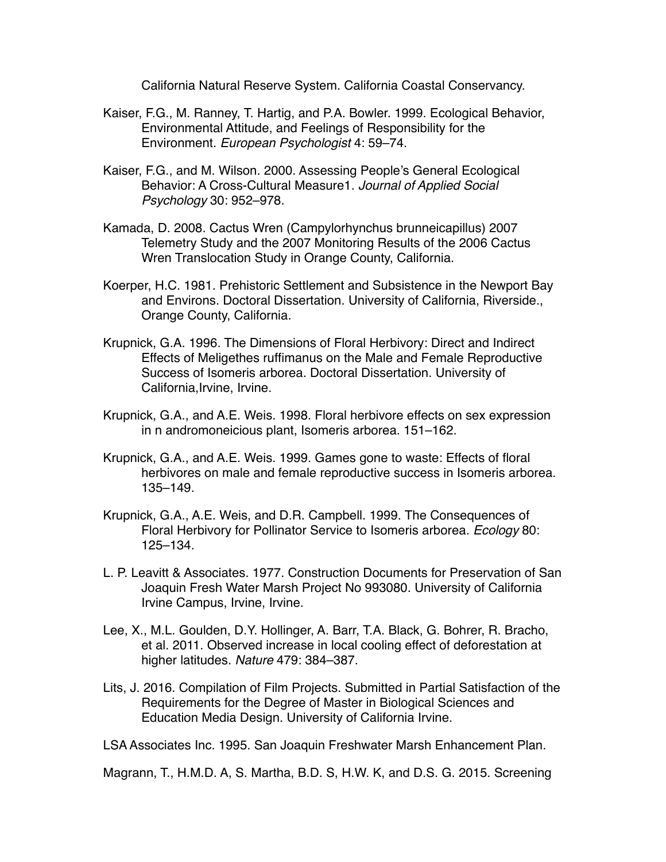California Natural Reserve System. California Coastal Conservancy.

- Kaiser, F.G., M. Ranney, T. Hartig, and P.A. Bowler. 1999. Ecological Behavior, Environmental Attitude, and Feelings of Responsibility for the Environment. *European Psychologist* 4: 59–74.
- Kaiser, F.G., and M. Wilson. 2000. Assessing People's General Ecological Behavior: A Cross-Cultural Measure1. *Journal of Applied Social Psychology* 30: 952–978.
- Kamada, D. 2008. Cactus Wren (Campylorhynchus brunneicapillus) 2007 Telemetry Study and the 2007 Monitoring Results of the 2006 Cactus Wren Translocation Study in Orange County, California.
- Koerper, H.C. 1981. Prehistoric Settlement and Subsistence in the Newport Bay and Environs. Doctoral Dissertation. University of California, Riverside., Orange County, California.
- Krupnick, G.A. 1996. The Dimensions of Floral Herbivory: Direct and Indirect Effects of Meligethes ruffimanus on the Male and Female Reproductive Success of Isomeris arborea. Doctoral Dissertation. University of California,Irvine, Irvine.
- Krupnick, G.A., and A.E. Weis. 1998. Floral herbivore effects on sex expression in n andromoneicious plant, Isomeris arborea. 151–162.
- Krupnick, G.A., and A.E. Weis. 1999. Games gone to waste: Effects of floral herbivores on male and female reproductive success in Isomeris arborea. 135–149.
- Krupnick, G.A., A.E. Weis, and D.R. Campbell. 1999. The Consequences of Floral Herbivory for Pollinator Service to Isomeris arborea. *Ecology* 80: 125–134.
- L. P. Leavitt & Associates. 1977. Construction Documents for Preservation of San Joaquin Fresh Water Marsh Project No 993080. University of California Irvine Campus, Irvine, Irvine.
- Lee, X., M.L. Goulden, D.Y. Hollinger, A. Barr, T.A. Black, G. Bohrer, R. Bracho, et al. 2011. Observed increase in local cooling effect of deforestation at higher latitudes. *Nature* 479: 384–387.
- Lits, J. 2016. Compilation of Film Projects. Submitted in Partial Satisfaction of the Requirements for the Degree of Master in Biological Sciences and Education Media Design. University of California Irvine.

LSA Associates Inc. 1995. San Joaquin Freshwater Marsh Enhancement Plan.

Magrann, T., H.M.D. A, S. Martha, B.D. S, H.W. K, and D.S. G. 2015. Screening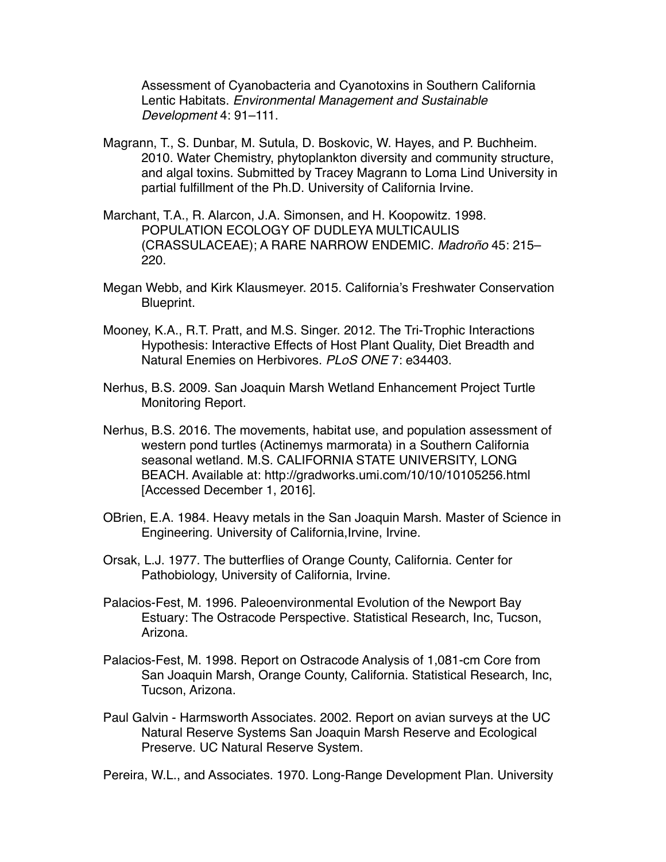Assessment of Cyanobacteria and Cyanotoxins in Southern California Lentic Habitats. *Environmental Management and Sustainable Development* 4: 91–111.

- Magrann, T., S. Dunbar, M. Sutula, D. Boskovic, W. Hayes, and P. Buchheim. 2010. Water Chemistry, phytoplankton diversity and community structure, and algal toxins. Submitted by Tracey Magrann to Loma Lind University in partial fulfillment of the Ph.D. University of California Irvine.
- Marchant, T.A., R. Alarcon, J.A. Simonsen, and H. Koopowitz. 1998. POPULATION ECOLOGY OF DUDLEYA MULTICAULIS (CRASSULACEAE); A RARE NARROW ENDEMIC. *Madroño* 45: 215– 220.
- Megan Webb, and Kirk Klausmeyer. 2015. California's Freshwater Conservation Blueprint.
- Mooney, K.A., R.T. Pratt, and M.S. Singer. 2012. The Tri-Trophic Interactions Hypothesis: Interactive Effects of Host Plant Quality, Diet Breadth and Natural Enemies on Herbivores. *PLoS ONE* 7: e34403.
- Nerhus, B.S. 2009. San Joaquin Marsh Wetland Enhancement Project Turtle Monitoring Report.
- Nerhus, B.S. 2016. The movements, habitat use, and population assessment of western pond turtles (Actinemys marmorata) in a Southern California seasonal wetland. M.S. CALIFORNIA STATE UNIVERSITY, LONG BEACH. Available at: http://gradworks.umi.com/10/10/10105256.html [Accessed December 1, 2016].
- OBrien, E.A. 1984. Heavy metals in the San Joaquin Marsh. Master of Science in Engineering. University of California,Irvine, Irvine.
- Orsak, L.J. 1977. The butterflies of Orange County, California. Center for Pathobiology, University of California, Irvine.
- Palacios-Fest, M. 1996. Paleoenvironmental Evolution of the Newport Bay Estuary: The Ostracode Perspective. Statistical Research, Inc, Tucson, Arizona.
- Palacios-Fest, M. 1998. Report on Ostracode Analysis of 1,081-cm Core from San Joaquin Marsh, Orange County, California. Statistical Research, Inc, Tucson, Arizona.
- Paul Galvin Harmsworth Associates. 2002. Report on avian surveys at the UC Natural Reserve Systems San Joaquin Marsh Reserve and Ecological Preserve. UC Natural Reserve System.

Pereira, W.L., and Associates. 1970. Long-Range Development Plan. University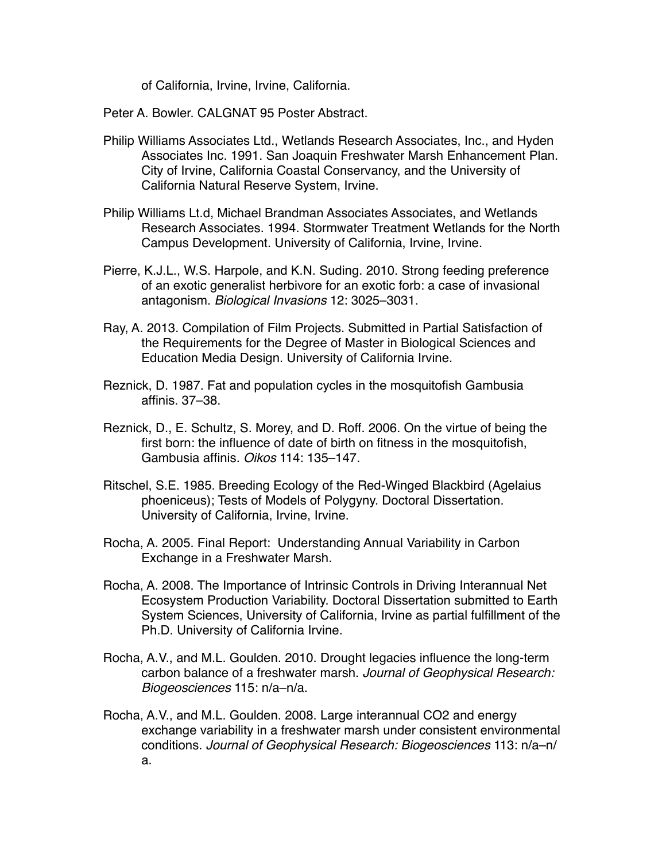of California, Irvine, Irvine, California.

Peter A. Bowler. CALGNAT 95 Poster Abstract.

- Philip Williams Associates Ltd., Wetlands Research Associates, Inc., and Hyden Associates Inc. 1991. San Joaquin Freshwater Marsh Enhancement Plan. City of Irvine, California Coastal Conservancy, and the University of California Natural Reserve System, Irvine.
- Philip Williams Lt.d, Michael Brandman Associates Associates, and Wetlands Research Associates. 1994. Stormwater Treatment Wetlands for the North Campus Development. University of California, Irvine, Irvine.
- Pierre, K.J.L., W.S. Harpole, and K.N. Suding. 2010. Strong feeding preference of an exotic generalist herbivore for an exotic forb: a case of invasional antagonism. *Biological Invasions* 12: 3025–3031.
- Ray, A. 2013. Compilation of Film Projects. Submitted in Partial Satisfaction of the Requirements for the Degree of Master in Biological Sciences and Education Media Design. University of California Irvine.
- Reznick, D. 1987. Fat and population cycles in the mosquitofish Gambusia affinis. 37–38.
- Reznick, D., E. Schultz, S. Morey, and D. Roff. 2006. On the virtue of being the first born: the influence of date of birth on fitness in the mosquitofish, Gambusia affinis. *Oikos* 114: 135–147.
- Ritschel, S.E. 1985. Breeding Ecology of the Red-Winged Blackbird (Agelaius phoeniceus); Tests of Models of Polygyny. Doctoral Dissertation. University of California, Irvine, Irvine.
- Rocha, A. 2005. Final Report: Understanding Annual Variability in Carbon Exchange in a Freshwater Marsh.
- Rocha, A. 2008. The Importance of Intrinsic Controls in Driving Interannual Net Ecosystem Production Variability. Doctoral Dissertation submitted to Earth System Sciences, University of California, Irvine as partial fulfillment of the Ph.D. University of California Irvine.
- Rocha, A.V., and M.L. Goulden. 2010. Drought legacies influence the long-term carbon balance of a freshwater marsh. *Journal of Geophysical Research: Biogeosciences* 115: n/a–n/a.
- Rocha, A.V., and M.L. Goulden. 2008. Large interannual CO2 and energy exchange variability in a freshwater marsh under consistent environmental conditions. *Journal of Geophysical Research: Biogeosciences* 113: n/a–n/ a.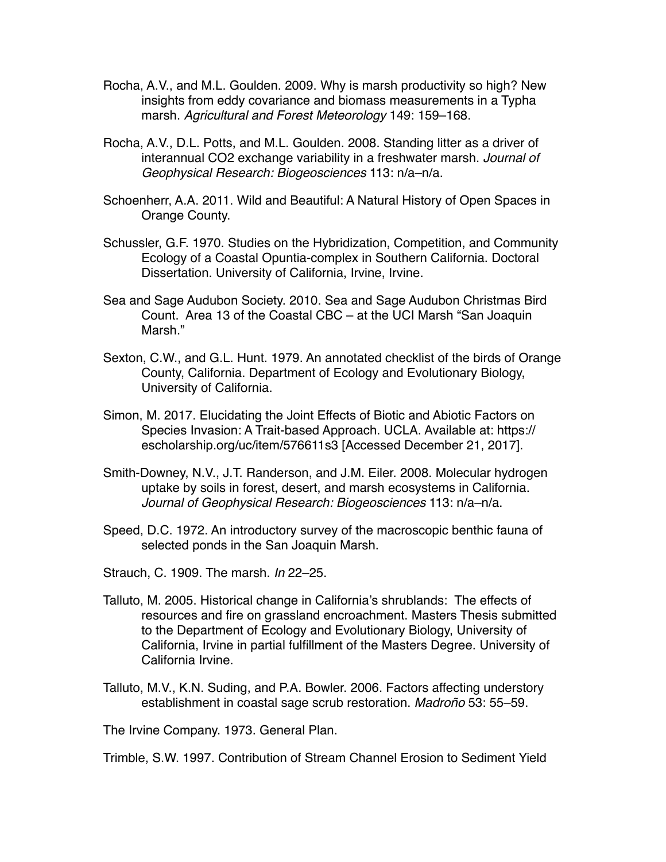- Rocha, A.V., and M.L. Goulden. 2009. Why is marsh productivity so high? New insights from eddy covariance and biomass measurements in a Typha marsh. *Agricultural and Forest Meteorology* 149: 159–168.
- Rocha, A.V., D.L. Potts, and M.L. Goulden. 2008. Standing litter as a driver of interannual CO2 exchange variability in a freshwater marsh. *Journal of Geophysical Research: Biogeosciences* 113: n/a–n/a.
- Schoenherr, A.A. 2011. Wild and Beautiful: A Natural History of Open Spaces in Orange County.
- Schussler, G.F. 1970. Studies on the Hybridization, Competition, and Community Ecology of a Coastal Opuntia-complex in Southern California. Doctoral Dissertation. University of California, Irvine, Irvine.
- Sea and Sage Audubon Society. 2010. Sea and Sage Audubon Christmas Bird Count. Area 13 of the Coastal CBC – at the UCI Marsh "San Joaquin Marsh."
- Sexton, C.W., and G.L. Hunt. 1979. An annotated checklist of the birds of Orange County, California. Department of Ecology and Evolutionary Biology, University of California.
- Simon, M. 2017. Elucidating the Joint Effects of Biotic and Abiotic Factors on Species Invasion: A Trait-based Approach. UCLA. Available at: https:// escholarship.org/uc/item/576611s3 [Accessed December 21, 2017].
- Smith-Downey, N.V., J.T. Randerson, and J.M. Eiler. 2008. Molecular hydrogen uptake by soils in forest, desert, and marsh ecosystems in California. *Journal of Geophysical Research: Biogeosciences* 113: n/a–n/a.
- Speed, D.C. 1972. An introductory survey of the macroscopic benthic fauna of selected ponds in the San Joaquin Marsh.
- Strauch, C. 1909. The marsh. *In* 22–25.
- Talluto, M. 2005. Historical change in California's shrublands: The effects of resources and fire on grassland encroachment. Masters Thesis submitted to the Department of Ecology and Evolutionary Biology, University of California, Irvine in partial fulfillment of the Masters Degree. University of California Irvine.
- Talluto, M.V., K.N. Suding, and P.A. Bowler. 2006. Factors affecting understory establishment in coastal sage scrub restoration. *Madroño* 53: 55–59.

The Irvine Company. 1973. General Plan.

Trimble, S.W. 1997. Contribution of Stream Channel Erosion to Sediment Yield